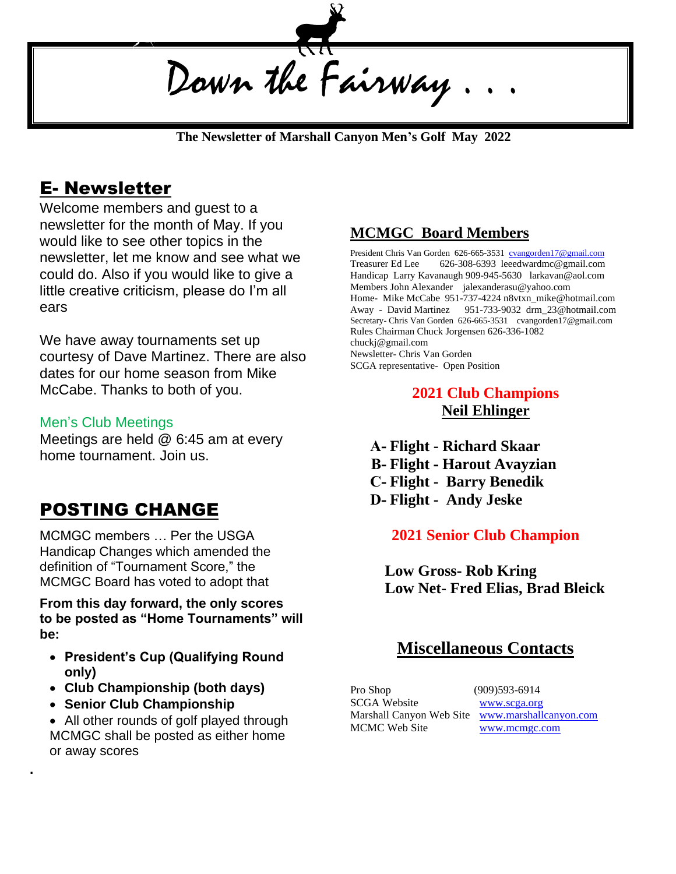Down the Fairway

 **The Newsletter of Marshall Canyon Men's Golf May 2022**

### E- Newsletter

Welcome members and guest to a newsletter for the month of May. If you would like to see other topics in the newsletter, let me know and see what we could do. Also if you would like to give a little creative criticism, please do I'm all ears

We have away tournaments set up courtesy of Dave Martinez. There are also dates for our home season from Mike McCabe. Thanks to both of you.

#### Men's Club Meetings

Meetings are held @ 6:45 am at every home tournament. Join us.

## POSTING CHANGE

MCMGC members … Per the USGA Handicap Changes which amended the definition of "Tournament Score," the MCMGC Board has voted to adopt that

**From this day forward, the only scores to be posted as "Home Tournaments" will be:** 

- **President's Cup (Qualifying Round only)**
- **Club Championship (both days)**
- **Senior Club Championship**

**.**

• All other rounds of golf played through MCMGC shall be posted as either home or away scores

#### **MCMGC Board Members**

President Chris Van Gorden 626-665-3531 [cvangorden17@gmail.com](mailto:cvangorden17@gmail.com) Treasurer Ed Lee 626-308-6393 leeedwardmc@gmail.com Handicap Larry Kavanaugh 909-945-5630 larkavan@aol.com Members John Alexander jalexanderasu@yahoo.com Home- Mike McCabe 951-737-4224 n8vtxn\_mike@hotmail.com Away - David Martinez 951-733-9032 drm\_23@hotmail.com Secretary- Chris Van Gorden 626-665-3531 cvangorden17@gmail.com Rules Chairman Chuck Jorgensen 626-336-1082 chuckj@gmail.com Newsletter- Chris Van Gorden SCGA representative- Open Position

#### **2021 Club Champions Neil Ehlinger**

**A- Flight - Richard Skaar B- Flight - Harout Avayzian C- Flight - Barry Benedik D- Flight - Andy Jeske** 

#### **2021 Senior Club Champion**

**Low Gross- Rob Kring Low Net- Fred Elias, Brad Bleick** 

#### **Miscellaneous Contacts**

Pro Shop (909)593-6914 SCGA Website WWW.scga.org MCMC Web Site [www.mcmgc.com](http://www.mcmgc.com/)

Marshall Canyon Web Site [www.marshallcanyon.com](http://www.marshallcanyon.com/)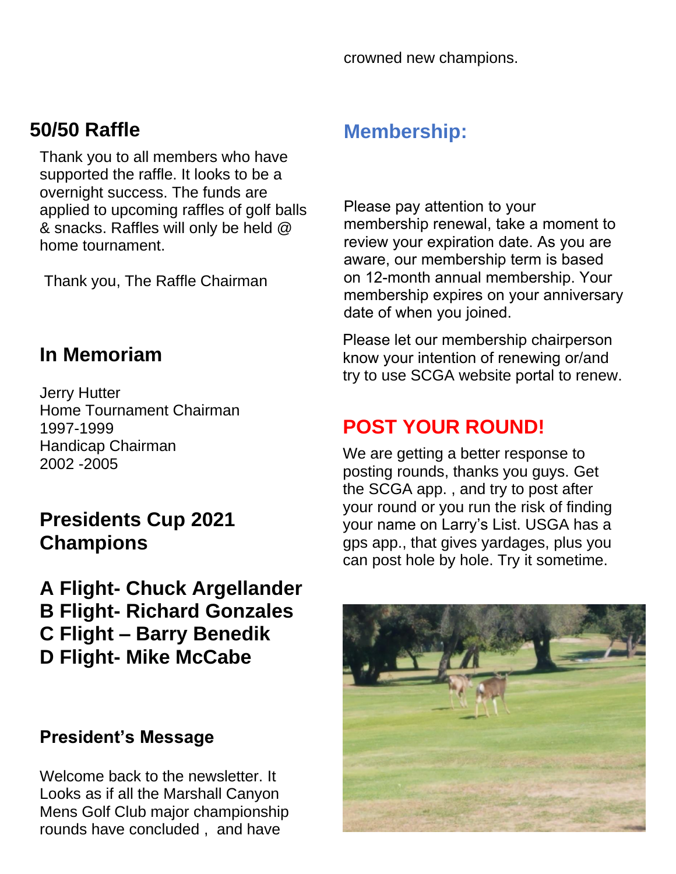crowned new champions.

# **50/50 Raffle**

Thank you to all members who have supported the raffle. It looks to be a overnight success. The funds are applied to upcoming raffles of golf balls & snacks. Raffles will only be held @ home tournament.

Thank you, The Raffle Chairman

## **In Memoriam**

Jerry Hutter Home Tournament Chairman 1997-1999 Handicap Chairman 2002 -2005

# **Presidents Cup 2021 Champions**

**A Flight- Chuck Argellander B Flight- Richard Gonzales C Flight – Barry Benedik D Flight- Mike McCabe**

### **President's Message**

Welcome back to the newsletter. It Looks as if all the Marshall Canyon Mens Golf Club major championship rounds have concluded , and have

## **Membership:**

Please pay attention to your membership renewal, take a moment to review your expiration date. As you are aware, our membership term is based on 12-month annual membership. Your membership expires on your anniversary date of when you joined.

Please let our membership chairperson know your intention of renewing or/and try to use SCGA website portal to renew.

# **POST YOUR ROUND!**

We are getting a better response to posting rounds, thanks you guys. Get the SCGA app. , and try to post after your round or you run the risk of finding your name on Larry's List. USGA has a gps app., that gives yardages, plus you can post hole by hole. Try it sometime.